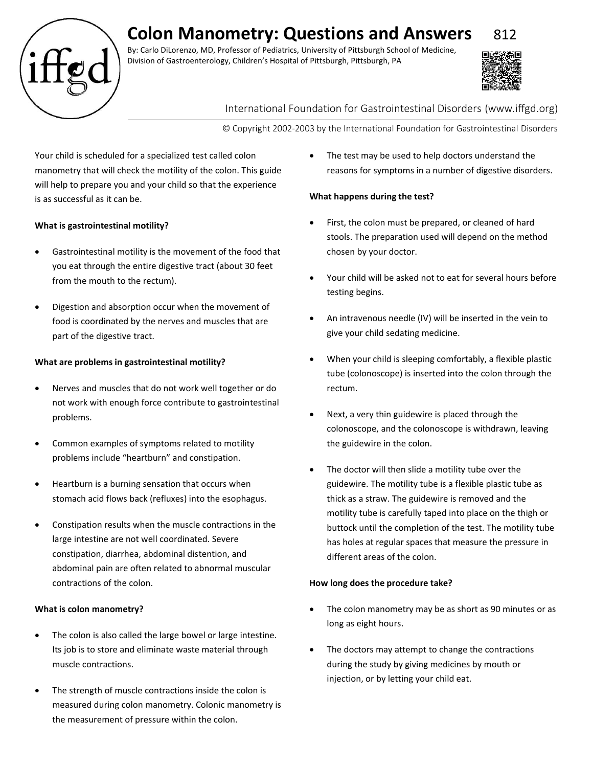# **Colon Manometry: Questions and Answers** 812

By: Carlo DiLorenzo, MD, Professor of Pediatrics, University of Pittsburgh School of Medicine, Division of Gastroenterology, Children's Hospital of Pittsburgh, Pittsburgh, PA



## International Foundation for Gastrointestinal Disorders (www.iffgd.org)

© Copyright 2002-2003 by the International Foundation for Gastrointestinal Disorders

Your child is scheduled for a specialized test called colon manometry that will check the motility of the colon. This guide will help to prepare you and your child so that the experience is as successful as it can be.

## **What is gastrointestinal motility?**

- Gastrointestinal motility is the movement of the food that you eat through the entire digestive tract (about 30 feet from the mouth to the rectum).
- Digestion and absorption occur when the movement of food is coordinated by the nerves and muscles that are part of the digestive tract.

### **What are problems in gastrointestinal motility?**

- Nerves and muscles that do not work well together or do not work with enough force contribute to gastrointestinal problems.
- Common examples of symptoms related to motility problems include "heartburn" and constipation.
- Heartburn is a burning sensation that occurs when stomach acid flows back (refluxes) into the esophagus.
- Constipation results when the muscle contractions in the large intestine are not well coordinated. Severe constipation, diarrhea, abdominal distention, and abdominal pain are often related to abnormal muscular contractions of the colon.

#### **What is colon manometry?**

- The colon is also called the large bowel or large intestine. Its job is to store and eliminate waste material through muscle contractions.
- The strength of muscle contractions inside the colon is measured during colon manometry. Colonic manometry is the measurement of pressure within the colon.

• The test may be used to help doctors understand the reasons for symptoms in a number of digestive disorders.

### **What happens during the test?**

- First, the colon must be prepared, or cleaned of hard stools. The preparation used will depend on the method chosen by your doctor.
- Your child will be asked not to eat for several hours before testing begins.
- An intravenous needle (IV) will be inserted in the vein to give your child sedating medicine.
- When your child is sleeping comfortably, a flexible plastic tube (colonoscope) is inserted into the colon through the rectum.
- Next, a very thin guidewire is placed through the colonoscope, and the colonoscope is withdrawn, leaving the guidewire in the colon.
- The doctor will then slide a motility tube over the guidewire. The motility tube is a flexible plastic tube as thick as a straw. The guidewire is removed and the motility tube is carefully taped into place on the thigh or buttock until the completion of the test. The motility tube has holes at regular spaces that measure the pressure in different areas of the colon.

#### **How long does the procedure take?**

- The colon manometry may be as short as 90 minutes or as long as eight hours.
- The doctors may attempt to change the contractions during the study by giving medicines by mouth or injection, or by letting your child eat.